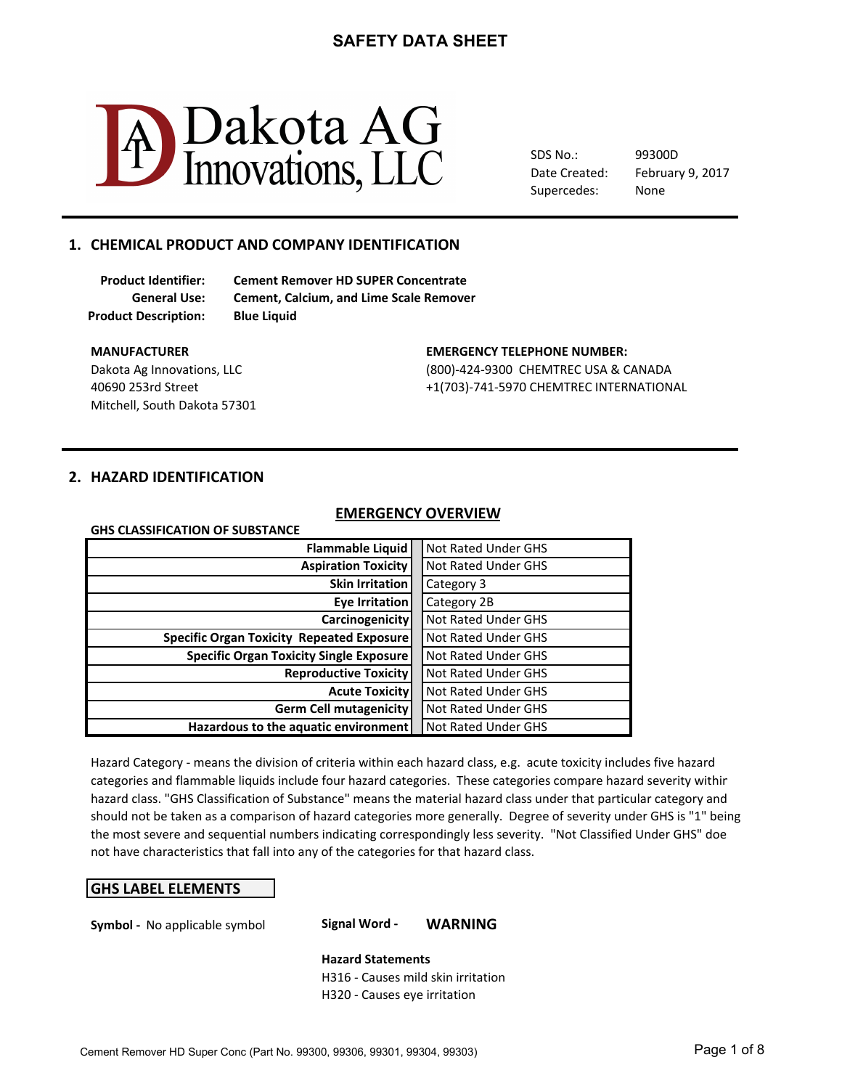

SDS No.: Date Created: Supercedes:

February 9, 2017 99300D None

### 1. CHEMICAL PRODUCT AND COMPANY IDENTIFICATION

**Product Description: Blue Liquid**

**Product Identifier: Cement Remover HD SUPER Concentrate General Use: Cement, Calcium, and Lime Scale Remover**

Mitchell, South Dakota 57301

#### **MANUFACTURER CONTROLLER CONTROLLER EMERGENCY TELEPHONE NUMBER:**

Dakota Ag Innovations, LLC (800)-424-9300 CHEMTREC USA & CANADA 40690 253rd Street +1(703)-741-5970 CHEMTREC INTERNATIONAL

### **2. HAZARD IDENTIFICATION**

### **EMERGENCY OVERVIEW**

| <b>EMERGENCY OVERVIEW</b>                        |  |                            |  |
|--------------------------------------------------|--|----------------------------|--|
| <b>GHS CLASSIFICATION OF SUBSTANCE</b>           |  |                            |  |
| <b>Flammable Liquid</b>                          |  | <b>Not Rated Under GHS</b> |  |
| <b>Aspiration Toxicity</b>                       |  | <b>Not Rated Under GHS</b> |  |
| <b>Skin Irritation</b>                           |  | Category 3                 |  |
| <b>Eye Irritation</b>                            |  | Category 2B                |  |
| <b>Carcinogenicity</b>                           |  | <b>Not Rated Under GHS</b> |  |
| <b>Specific Organ Toxicity Repeated Exposure</b> |  | <b>Not Rated Under GHS</b> |  |
| <b>Specific Organ Toxicity Single Exposure</b>   |  | <b>Not Rated Under GHS</b> |  |
| <b>Reproductive Toxicity</b>                     |  | <b>Not Rated Under GHS</b> |  |
| <b>Acute Toxicity</b>                            |  | <b>Not Rated Under GHS</b> |  |
| <b>Germ Cell mutagenicity</b>                    |  | <b>Not Rated Under GHS</b> |  |
| Hazardous to the aquatic environment             |  | <b>Not Rated Under GHS</b> |  |

Hazard Category - means the division of criteria within each hazard class, e.g. acute toxicity includes five hazard hazard class. "GHS Classification of Substance" means the material hazard class under that particular category and should not be taken as a comparison of hazard categories more generally. Degree of severity under GHS is "1" being not have characteristics that fall into any of the categories for that hazard class. categories and flammable liquids include four hazard categories. These categories compare hazard severity within the most severe and sequential numbers indicating correspondingly less severity. "Not Classified Under GHS" doe

### **GHS LABEL ELEMENTS**

**Symbol** - No applicable symbol **Signal Word - WARNING** 

**Hazard Statements** H316 - Causes mild skin irritation H320 - Causes eye irritation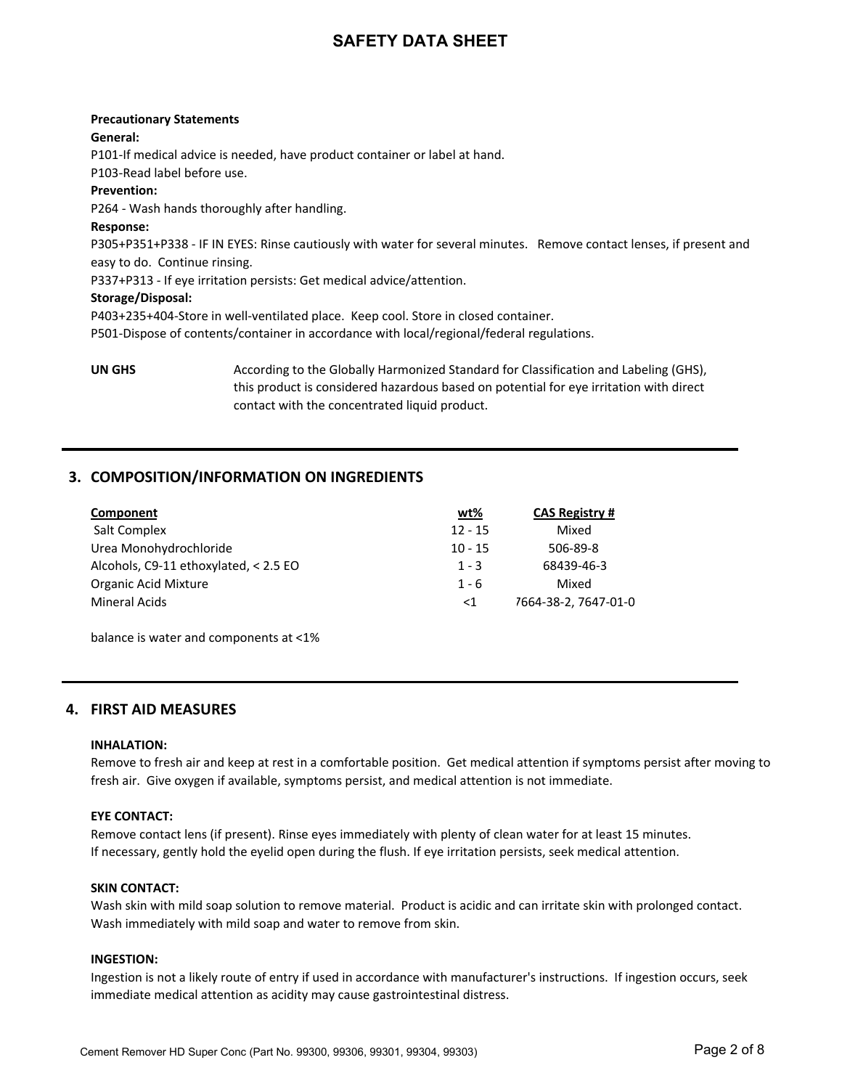# **Precautionary Statements General:** P101-If medical advice is needed, have product container or label at hand. P103-Read label before use. **Prevention:** P264 - Wash hands thoroughly after handling. **Response:** P305+P351+P338 - IF IN EYES: Rinse cautiously with water for several minutes. Remove contact lenses, if present and easy to do. Continue rinsing. P337+P313 - If eye irritation persists: Get medical advice/attention. **Storage/Disposal:** P403+235+404-Store in well-ventilated place. Keep cool. Store in closed container. P501-Dispose of contents/container in accordance with local/regional/federal regulations.

**UN GHS** According to the Globally Harmonized Standard for Classification and Labeling (GHS), this product is considered hazardous based on potential for eye irritation with direct contact with the concentrated liquid product.

### **3. COMPOSITION/INFORMATION ON INGREDIENTS**

| Component                             | <u>wt%</u> | <b>CAS Registry #</b> |
|---------------------------------------|------------|-----------------------|
| Salt Complex                          | $12 - 15$  | Mixed                 |
| Urea Monohydrochloride                | $10 - 15$  | 506-89-8              |
| Alcohols, C9-11 ethoxylated, < 2.5 EO | $1 - 3$    | 68439-46-3            |
| <b>Organic Acid Mixture</b>           | $1 - 6$    | Mixed                 |
| Mineral Acids                         | $\leq 1$   | 7664-38-2, 7647-01-0  |

balance is water and components at <1%

### **4. FIRST AID MEASURES**

#### **INHALATION:**

Remove to fresh air and keep at rest in a comfortable position. Get medical attention if symptoms persist after moving to fresh air. Give oxygen if available, symptoms persist, and medical attention is not immediate.

#### **EYE CONTACT:**

Remove contact lens (if present). Rinse eyes immediately with plenty of clean water for at least 15 minutes. If necessary, gently hold the eyelid open during the flush. If eye irritation persists, seek medical attention.

#### **SKIN CONTACT:**

Wash skin with mild soap solution to remove material. Product is acidic and can irritate skin with prolonged contact. Wash immediately with mild soap and water to remove from skin.

#### **INGESTION:**

Ingestion is not a likely route of entry if used in accordance with manufacturer's instructions. If ingestion occurs, seek immediate medical attention as acidity may cause gastrointestinal distress.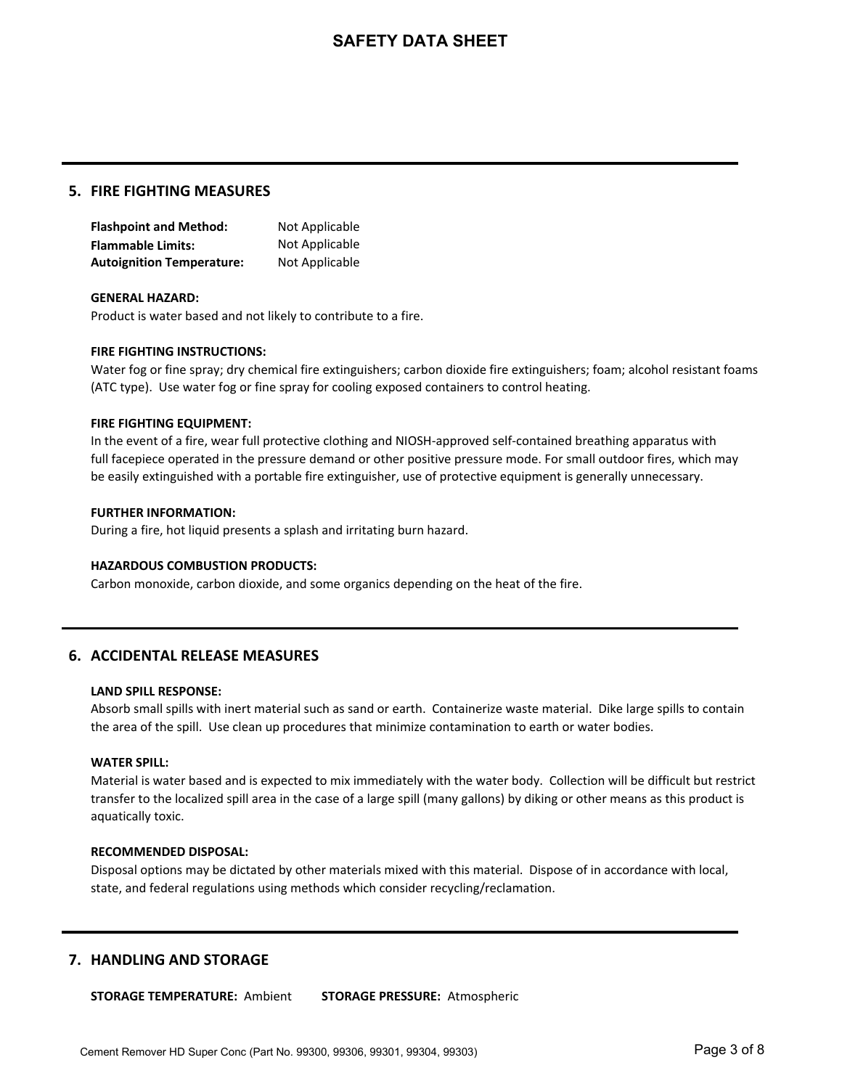#### **5. FIRE FIGHTING MEASURES**

**Flashpoint and Method:** Not Applicable **Flammable Limits:** Not Applicable **Autoignition Temperature:** Not Applicable

#### **GENERAL HAZARD:**

Product is water based and not likely to contribute to a fire.

#### **FIRE FIGHTING INSTRUCTIONS:**

Water fog or fine spray; dry chemical fire extinguishers; carbon dioxide fire extinguishers; foam; alcohol resistant foams (ATC type). Use water fog or fine spray for cooling exposed containers to control heating.

#### **FIRE FIGHTING EQUIPMENT:**

In the event of a fire, wear full protective clothing and NIOSH-approved self-contained breathing apparatus with full facepiece operated in the pressure demand or other positive pressure mode. For small outdoor fires, which may be easily extinguished with a portable fire extinguisher, use of protective equipment is generally unnecessary.

#### **FURTHER INFORMATION:**

During a fire, hot liquid presents a splash and irritating burn hazard.

#### **HAZARDOUS COMBUSTION PRODUCTS:**

Carbon monoxide, carbon dioxide, and some organics depending on the heat of the fire.

### **6. ACCIDENTAL RELEASE MEASURES**

#### **LAND SPILL RESPONSE:**

Absorb small spills with inert material such as sand or earth. Containerize waste material. Dike large spills to contain the area of the spill. Use clean up procedures that minimize contamination to earth or water bodies.

#### **WATER SPILL:**

Material is water based and is expected to mix immediately with the water body. Collection will be difficult but restrict transfer to the localized spill area in the case of a large spill (many gallons) by diking or other means as this product is aquatically toxic.

#### **RECOMMENDED DISPOSAL:**

Disposal options may be dictated by other materials mixed with this material. Dispose of in accordance with local, state, and federal regulations using methods which consider recycling/reclamation.

### **7. HANDLING AND STORAGE**

**STORAGE TEMPERATURE: Ambient STORAGE PRESSURE: Atmospheric**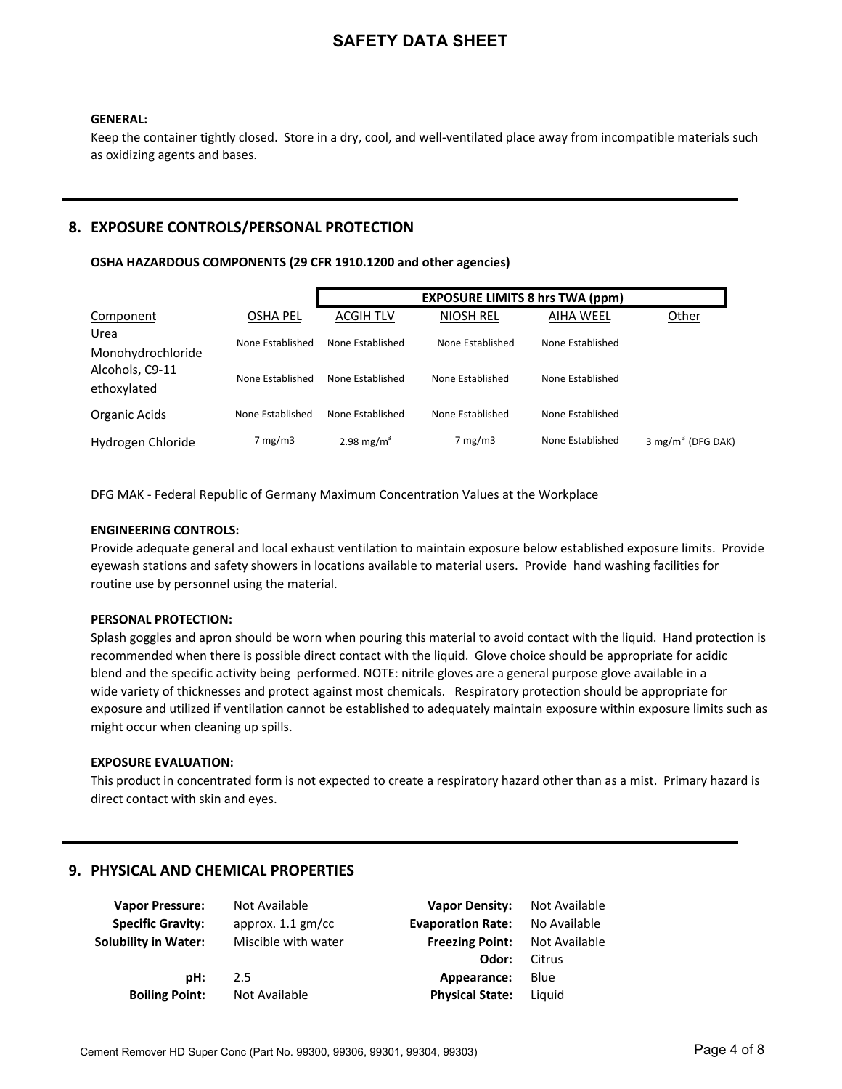#### **GENERAL:**

Keep the container tightly closed. Store in a dry, cool, and well-ventilated place away from incompatible materials such as oxidizing agents and bases.

### **8. EXPOSURE CONTROLS/PERSONAL PROTECTION**

#### OSHA HAZARDOUS COMPONENTS (29 CFR 1910.1200 and other agencies)

|                                |                  |                        | <b>EXPOSURE LIMITS 8 hrs TWA (ppm)</b> |                  |                      |
|--------------------------------|------------------|------------------------|----------------------------------------|------------------|----------------------|
| Component                      | <b>OSHA PEL</b>  | <b>ACGIH TLV</b>       | <b>NIOSH REL</b>                       | <b>AIHA WEEL</b> | Other                |
| Urea<br>Monohydrochloride      | None Established | None Established       | None Established                       | None Established |                      |
| Alcohols, C9-11<br>ethoxylated | None Established | None Established       | None Established                       | None Established |                      |
| Organic Acids                  | None Established | None Established       | None Established                       | None Established |                      |
| Hydrogen Chloride              | $7 \text{ mg/m}$ | 2.98 mg/m <sup>3</sup> | $7 \text{ mg/m}$                       | None Established | 3 mg/m $3$ (DFG DAK) |

DFG MAK - Federal Republic of Germany Maximum Concentration Values at the Workplace

#### **ENGINEERING CONTROLS:**

Provide adequate general and local exhaust ventilation to maintain exposure below established exposure limits. Provide eyewash stations and safety showers in locations available to material users. Provide hand washing facilities for routine use by personnel using the material.

#### **PERSONAL PROTECTION:**

Splash goggles and apron should be worn when pouring this material to avoid contact with the liquid. Hand protection is recommended when there is possible direct contact with the liquid. Glove choice should be appropriate for acidic blend and the specific activity being performed. NOTE: nitrile gloves are a general purpose glove available in a wide variety of thicknesses and protect against most chemicals. Respiratory protection should be appropriate for exposure and utilized if ventilation cannot be established to adequately maintain exposure within exposure limits such as might occur when cleaning up spills.

#### **EXPOSURE EVALUATION:**

This product in concentrated form is not expected to create a respiratory hazard other than as a mist. Primary hazard is direct contact with skin and eyes.

### **9. PHYSICAL AND CHEMICAL PROPERTIES**

| <b>Vapor Pressure:</b>   | Not Available       | <b>Vapor Density:</b>    | Not Available |
|--------------------------|---------------------|--------------------------|---------------|
| <b>Specific Gravity:</b> | approx. $1.1$ gm/cc | <b>Evaporation Rate:</b> | No Available  |
| Solubility in Water:     | Miscible with water | <b>Freezing Point:</b>   | Not Available |
|                          |                     | Odor:                    | Citrus        |
| pH:                      | 2.5                 | Appearance:              | Blue          |
| <b>Boiling Point:</b>    | Not Available       | <b>Physical State:</b>   | Liguid        |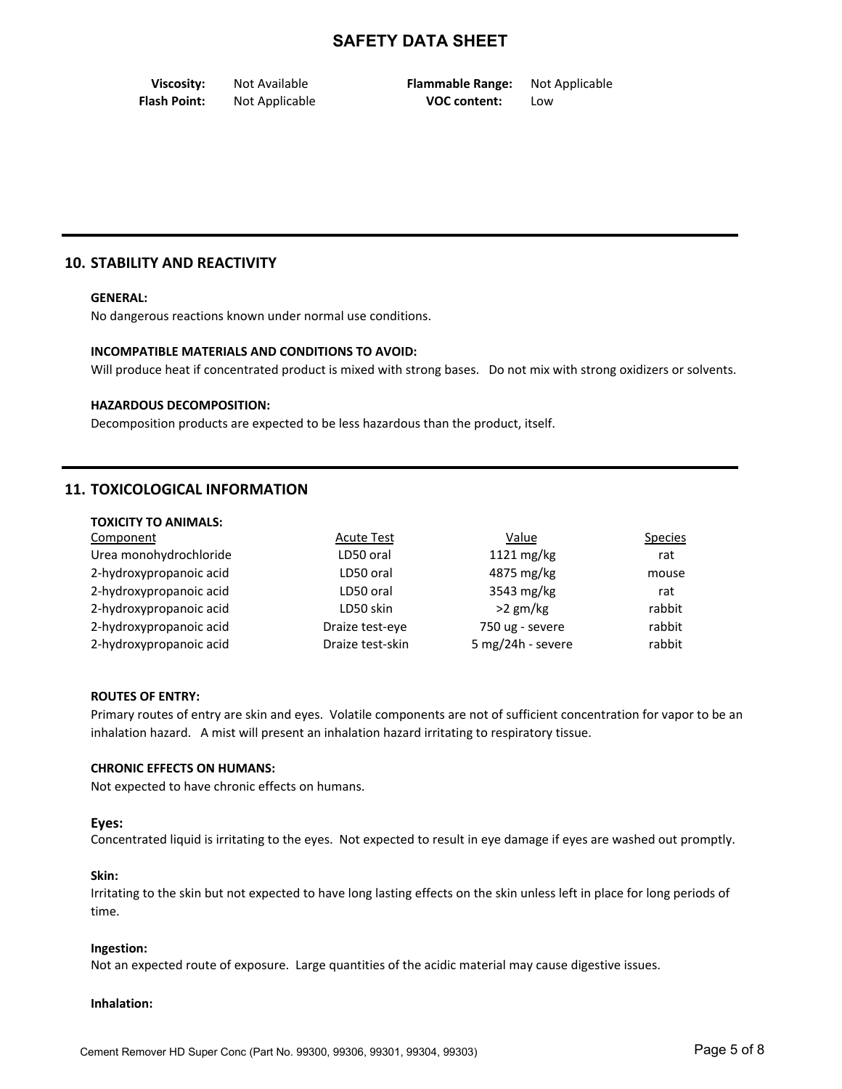**Viscosity:** Not Available **Flammable Range:** Not Applicable **Flash Point:** Not Applicable **Comment:** Mot Applicable **Low** 

### **10. STABILITY AND REACTIVITY**

#### **GENERAL:**

No dangerous reactions known under normal use conditions.

#### **INCOMPATIBLE MATERIALS AND CONDITIONS TO AVOID:**

Will produce heat if concentrated product is mixed with strong bases. Do not mix with strong oxidizers or solvents.

#### **HAZARDOUS DECOMPOSITION:**

Decomposition products are expected to be less hazardous than the product, itself.

### **11. TOXICOLOGICAL INFORMATION**

| <b>TOXICITY TO ANIMALS:</b> |                   |                   |                |
|-----------------------------|-------------------|-------------------|----------------|
| Component                   | <b>Acute Test</b> | Value             | <b>Species</b> |
| Urea monohydrochloride      | LD50 oral         | 1121 mg/kg        | rat            |
| 2-hydroxypropanoic acid     | LD50 oral         | 4875 mg/kg        | mouse          |
| 2-hydroxypropanoic acid     | LD50 oral         | 3543 mg/kg        | rat            |
| 2-hydroxypropanoic acid     | LD50 skin         | $>2$ gm/kg        | rabbit         |
| 2-hydroxypropanoic acid     | Draize test-eve   | 750 ug - severe   | rabbit         |
| 2-hydroxypropanoic acid     | Draize test-skin  | 5 mg/24h - severe | rabbit         |

#### **ROUTES OF ENTRY:**

Primary routes of entry are skin and eyes. Volatile components are not of sufficient concentration for vapor to be an inhalation hazard. A mist will present an inhalation hazard irritating to respiratory tissue.

#### **CHRONIC EFFECTS ON HUMANS:**

Not expected to have chronic effects on humans.

#### Eyes:

Concentrated liquid is irritating to the eyes. Not expected to result in eye damage if eyes are washed out promptly.

#### **Skin:**

Irritating to the skin but not expected to have long lasting effects on the skin unless left in place for long periods of time.

#### **Ingestion:**

Not an expected route of exposure. Large quantities of the acidic material may cause digestive issues.

#### **Inhalation:**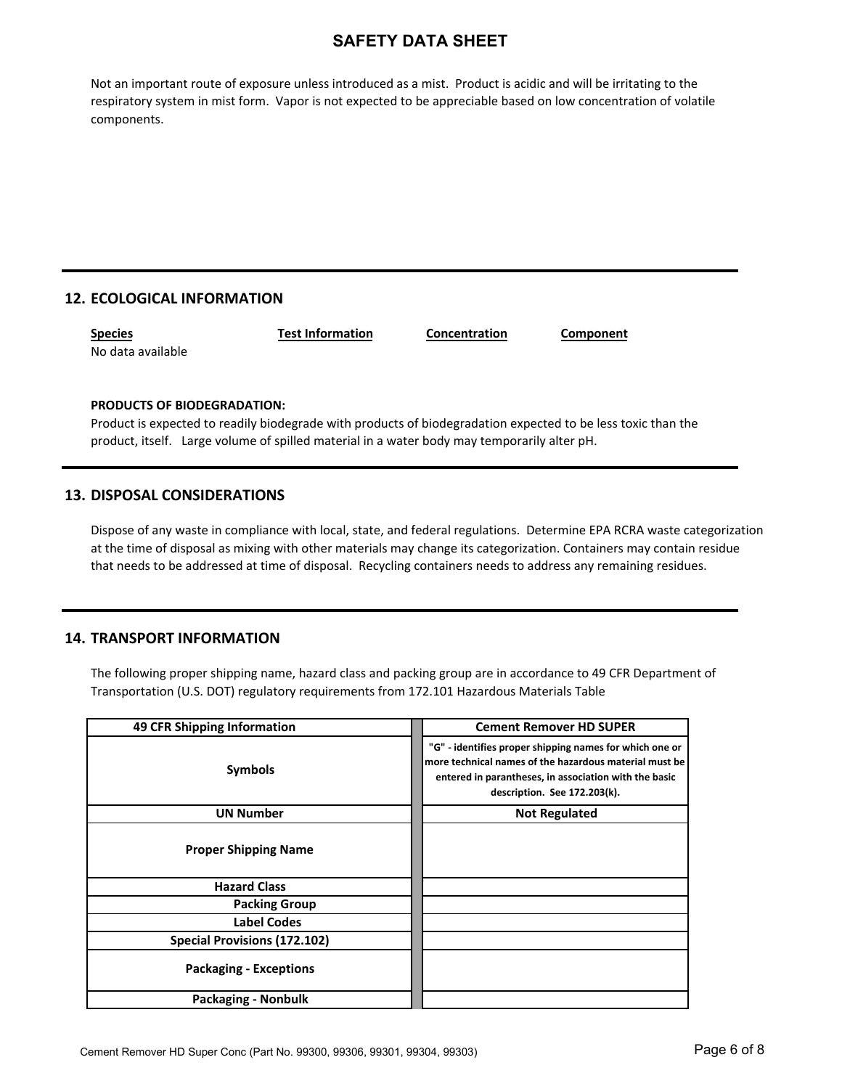Not an important route of exposure unless introduced as a mist. Product is acidic and will be irritating to the respiratory system in mist form. Vapor is not expected to be appreciable based on low concentration of volatile components.

## **12. ECOLOGICAL INFORMATION**

| <b>Species</b>    | <b>Test Information</b> | Concentration | Component |
|-------------------|-------------------------|---------------|-----------|
| No data available |                         |               |           |

### **PRODUCTS OF BIODEGRADATION:**

Product is expected to readily biodegrade with products of biodegradation expected to be less toxic than the product, itself. Large volume of spilled material in a water body may temporarily alter pH.

### **13. DISPOSAL CONSIDERATIONS**

Dispose of any waste in compliance with local, state, and federal regulations. Determine EPA RCRA waste categorization at the time of disposal as mixing with other materials may change its categorization. Containers may contain residue that needs to be addressed at time of disposal. Recycling containers needs to address any remaining residues.

### **14. TRANSPORT INFORMATION**

The following proper shipping name, hazard class and packing group are in accordance to 49 CFR Department of Transportation (U.S. DOT) regulatory requirements from 172.101 Hazardous Materials Table

| 49 CFR Shipping Information         | <b>Cement Remover HD SUPER</b>                                                                                                                                                                             |
|-------------------------------------|------------------------------------------------------------------------------------------------------------------------------------------------------------------------------------------------------------|
| <b>Symbols</b>                      | "G" - identifies proper shipping names for which one or<br>more technical names of the hazardous material must be<br>entered in parantheses, in association with the basic<br>description. See 172.203(k). |
| <b>UN Number</b>                    | <b>Not Regulated</b>                                                                                                                                                                                       |
| <b>Proper Shipping Name</b>         |                                                                                                                                                                                                            |
| <b>Hazard Class</b>                 |                                                                                                                                                                                                            |
| <b>Packing Group</b>                |                                                                                                                                                                                                            |
| Label Codes                         |                                                                                                                                                                                                            |
| <b>Special Provisions (172.102)</b> |                                                                                                                                                                                                            |
| <b>Packaging - Exceptions</b>       |                                                                                                                                                                                                            |
| <b>Packaging - Nonbulk</b>          |                                                                                                                                                                                                            |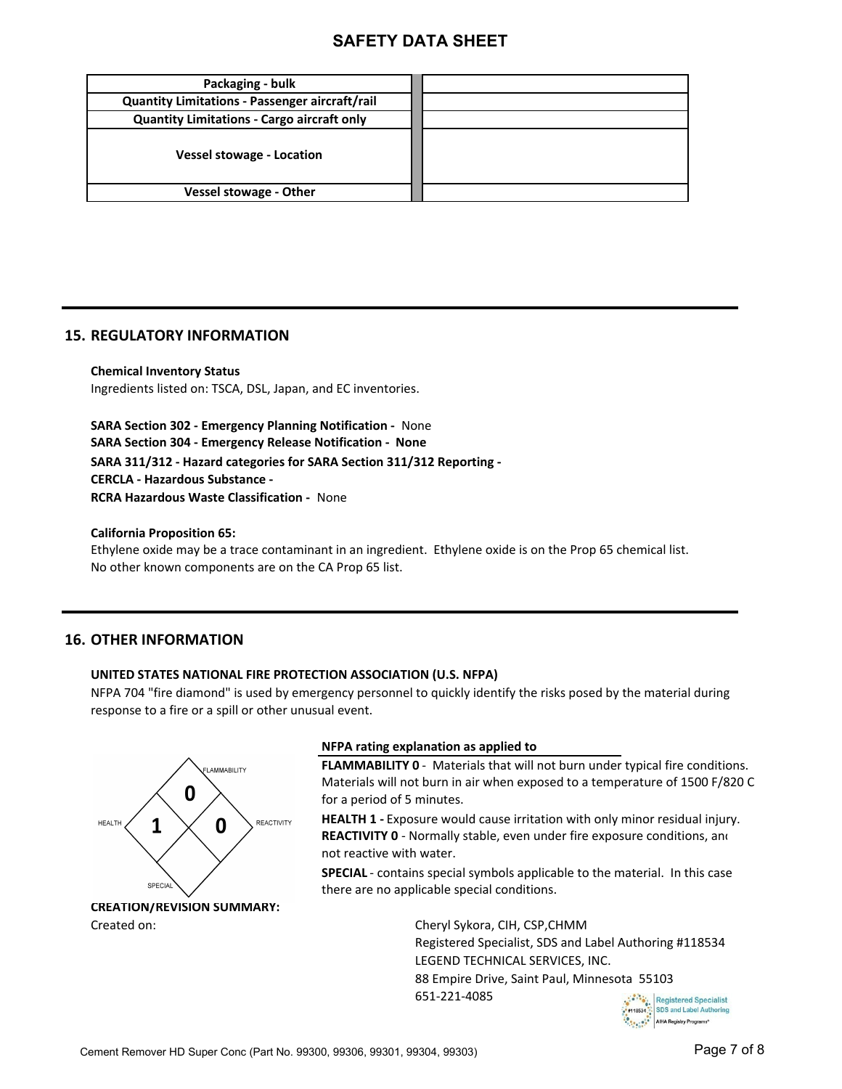| Packaging - bulk                                      |  |
|-------------------------------------------------------|--|
| <b>Quantity Limitations - Passenger aircraft/rail</b> |  |
| <b>Quantity Limitations - Cargo aircraft only</b>     |  |
| <b>Vessel stowage - Location</b>                      |  |
| <b>Vessel stowage - Other</b>                         |  |

### **15. REGULATORY INFORMATION**

**Chemical Inventory Status** Ingredients listed on: TSCA, DSL, Japan, and EC inventories.

**SARA Section 302 - Emergency Planning Notification - None SARA Section 304 - Emergency Release Notification - None** SARA 311/312 - Hazard categories for SARA Section 311/312 Reporting -**CERCLA - Hazardous Substance - RCRA Hazardous Waste Classification - None** 

**California Proposition 65:**

Ethylene oxide may be a trace contaminant in an ingredient. Ethylene oxide is on the Prop 65 chemical list. No other known components are on the CA Prop 65 list.

### **16. OTHER INFORMATION**

### **UNITED STATES NATIONAL FIRE PROTECTION ASSOCIATION (U.S. NFPA)**

NFPA 704 "fire diamond" is used by emergency personnel to quickly identify the risks posed by the material during response to a fire or a spill or other unusual event.



Created on:

### **NFPA rating explanation as applied to**

**FLAMMABILITY 0** - Materials that will not burn under typical fire conditions. Materials will not burn in air when exposed to a temperature of 1500 F/820 C for a period of 5 minutes.

**HEALTH 1** - Exposure would cause irritation with only minor residual injury. not reactive with water. **REACTIVITY 0** - Normally stable, even under fire exposure conditions, and

**SPECIAL** - contains special symbols applicable to the material. In this case there are no applicable special conditions.

> Cheryl Sykora, CIH, CSP, CHMM Registered Specialist, SDS and Label Authoring #118534 LEGEND TECHNICAL SERVICES, INC. 88 Empire Drive, Saint Paul, Minnesota 55103 651-221-4085